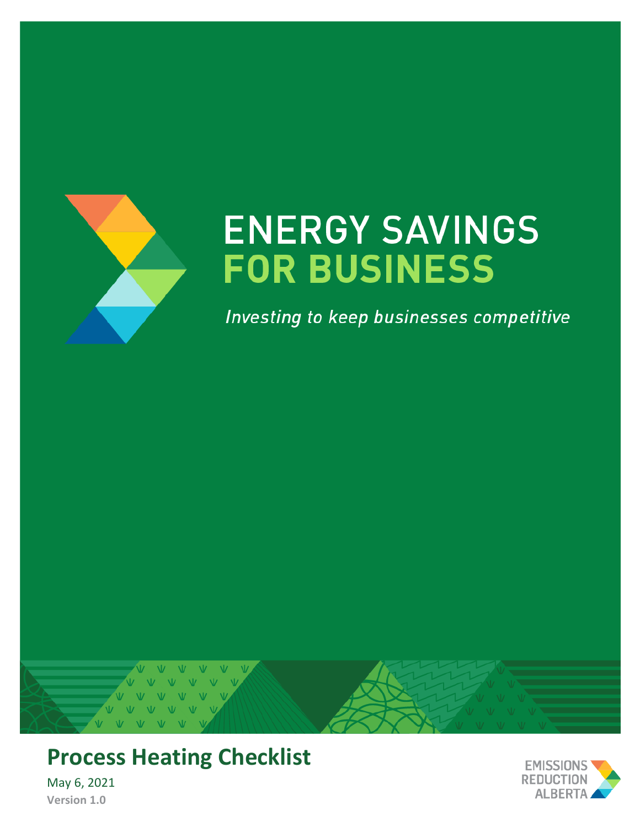

# **ENERGY SAVINGS FOR BUSINESS**

Investing to keep businesses competitive



**Process Heating Checklist**

May 6, 2021 **Version 1.0**

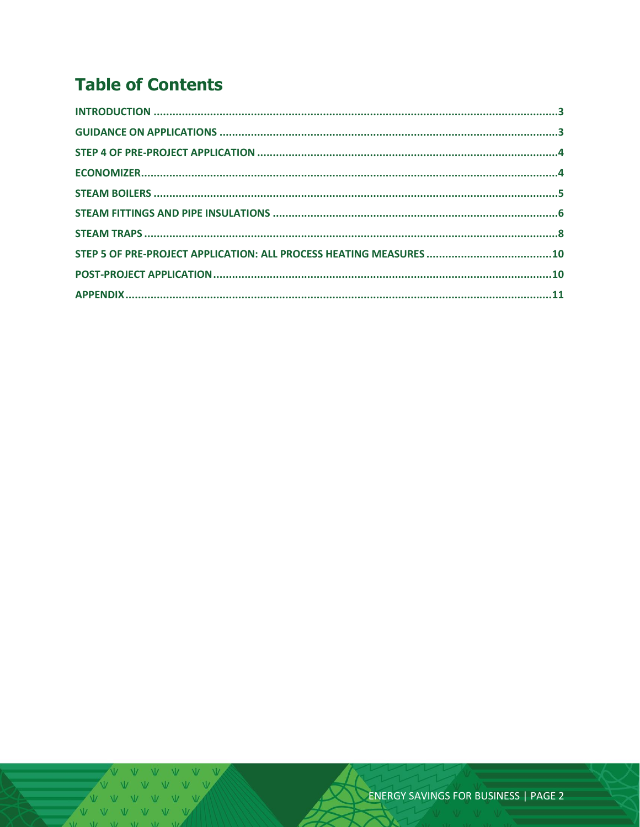## **Table of Contents**

V V V V V V VVVVV  $V = M - W$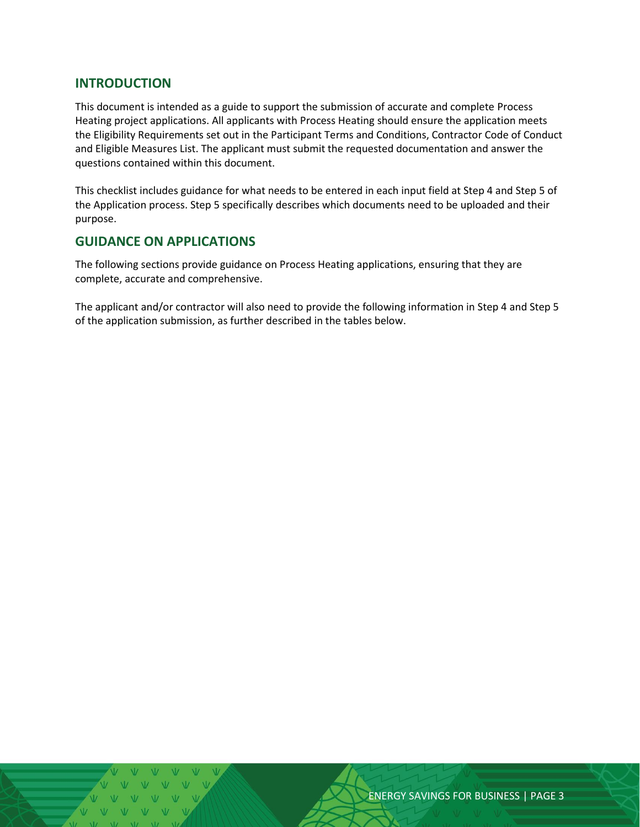#### <span id="page-2-0"></span>**INTRODUCTION**

This document is intended as a guide to support the submission of accurate and complete Process Heating project applications. All applicants with Process Heating should ensure the application meets the Eligibility Requirements set out in the Participant Terms and Conditions, Contractor Code of Conduct and Eligible Measures List. The applicant must submit the requested documentation and answer the questions contained within this document.

This checklist includes guidance for what needs to be entered in each input field at Step 4 and Step 5 of the Application process. Step 5 specifically describes which documents need to be uploaded and their purpose.

#### <span id="page-2-1"></span>**GUIDANCE ON APPLICATIONS**

The following sections provide guidance on Process Heating applications, ensuring that they are complete, accurate and comprehensive.

The applicant and/or contractor will also need to provide the following information in Step 4 and Step 5 of the application submission, as further described in the tables below.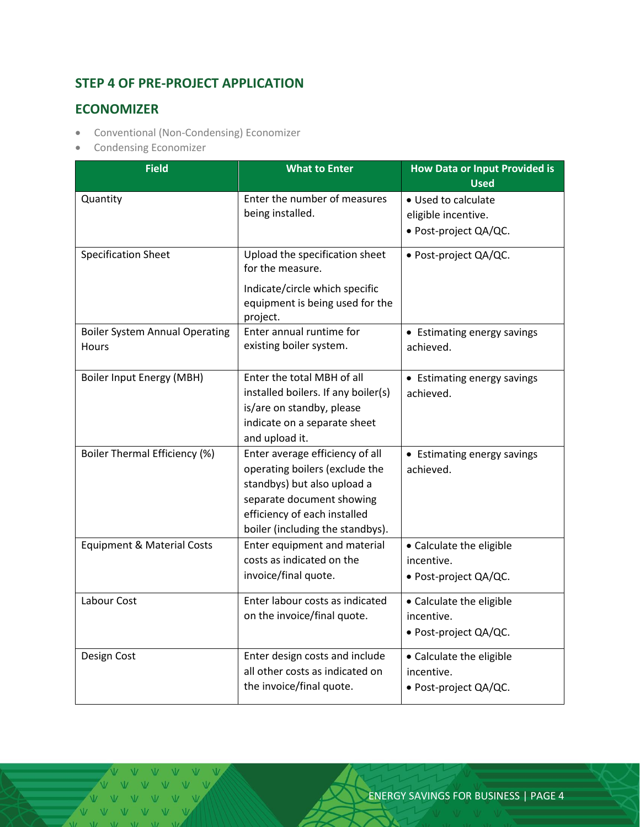### <span id="page-3-0"></span>**STEP 4 OF PRE-PROJECT APPLICATION**

#### <span id="page-3-1"></span>**ECONOMIZER**

- Conventional (Non-Condensing) Economizer
- Condensing Economizer

| <b>Field</b>                          | <b>What to Enter</b>                                             | <b>How Data or Input Provided is</b>     |  |
|---------------------------------------|------------------------------------------------------------------|------------------------------------------|--|
|                                       |                                                                  | <b>Used</b>                              |  |
| Quantity                              | Enter the number of measures                                     | • Used to calculate                      |  |
|                                       | being installed.                                                 | eligible incentive.                      |  |
|                                       |                                                                  | · Post-project QA/QC.                    |  |
| <b>Specification Sheet</b>            | Upload the specification sheet<br>for the measure.               | · Post-project QA/QC.                    |  |
|                                       | Indicate/circle which specific                                   |                                          |  |
|                                       | equipment is being used for the                                  |                                          |  |
| <b>Boiler System Annual Operating</b> | project.<br>Enter annual runtime for                             |                                          |  |
| <b>Hours</b>                          | existing boiler system.                                          | • Estimating energy savings<br>achieved. |  |
|                                       |                                                                  |                                          |  |
| Boiler Input Energy (MBH)             | Enter the total MBH of all                                       | • Estimating energy savings              |  |
|                                       | installed boilers. If any boiler(s)                              | achieved.                                |  |
|                                       | is/are on standby, please                                        |                                          |  |
|                                       | indicate on a separate sheet                                     |                                          |  |
|                                       | and upload it.                                                   |                                          |  |
| Boiler Thermal Efficiency (%)         | Enter average efficiency of all                                  | • Estimating energy savings              |  |
|                                       | operating boilers (exclude the                                   | achieved.                                |  |
|                                       | standbys) but also upload a                                      |                                          |  |
|                                       | separate document showing                                        |                                          |  |
|                                       | efficiency of each installed<br>boiler (including the standbys). |                                          |  |
| <b>Equipment &amp; Material Costs</b> | Enter equipment and material                                     | • Calculate the eligible                 |  |
|                                       | costs as indicated on the                                        | incentive.                               |  |
|                                       | invoice/final quote.                                             | · Post-project QA/QC.                    |  |
| Labour Cost                           | Enter labour costs as indicated                                  | • Calculate the eligible                 |  |
|                                       | on the invoice/final quote.                                      | incentive.                               |  |
|                                       |                                                                  | • Post-project QA/QC.                    |  |
|                                       |                                                                  |                                          |  |
| Design Cost                           | Enter design costs and include                                   | • Calculate the eligible                 |  |
|                                       | all other costs as indicated on                                  | incentive.                               |  |
|                                       | the invoice/final quote.                                         | • Post-project QA/QC.                    |  |

V V V VVV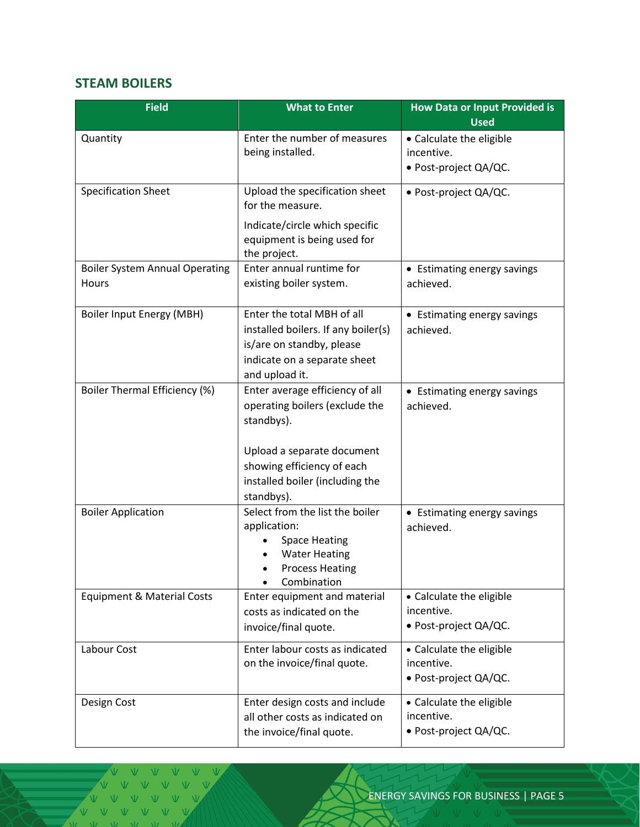#### <span id="page-4-0"></span>**STEAM BOILERS**

| <b>Field</b>                                   | <b>What to Enter</b>                                                                                                                                                                         | <b>How Data or Input Provided is</b><br><b>Used</b>             |  |
|------------------------------------------------|----------------------------------------------------------------------------------------------------------------------------------------------------------------------------------------------|-----------------------------------------------------------------|--|
| Quantity                                       | Enter the number of measures<br>being installed.                                                                                                                                             | • Calculate the eligible<br>incentive.<br>• Post-project QA/QC. |  |
| <b>Specification Sheet</b>                     | Upload the specification sheet<br>for the measure.                                                                                                                                           | · Post-project QA/QC.                                           |  |
|                                                | Indicate/circle which specific<br>equipment is being used for<br>the project.                                                                                                                |                                                                 |  |
| <b>Boiler System Annual Operating</b><br>Hours | Enter annual runtime for<br>existing boiler system.                                                                                                                                          | • Estimating energy savings<br>achieved.                        |  |
| Boiler Input Energy (MBH)                      | Enter the total MBH of all<br>installed boilers. If any boiler(s)<br>is/are on standby, please<br>indicate on a separate sheet<br>and upload it.                                             | • Estimating energy savings<br>achieved.                        |  |
| <b>Boiler Thermal Efficiency (%)</b>           | Enter average efficiency of all<br>operating boilers (exclude the<br>standbys).<br>Upload a separate document<br>showing efficiency of each<br>installed boiler (including the<br>standbys). | • Estimating energy savings<br>achieved.                        |  |
| <b>Boiler Application</b>                      | Select from the list the boiler<br>application:<br><b>Space Heating</b><br><b>Water Heating</b><br><b>Process Heating</b><br>Combination                                                     | • Estimating energy savings<br>achieved.                        |  |
| <b>Equipment &amp; Material Costs</b>          | Enter equipment and material<br>costs as indicated on the<br>invoice/final quote.                                                                                                            | • Calculate the eligible<br>incentive.<br>· Post-project QA/QC. |  |
| Labour Cost                                    | Enter labour costs as indicated<br>on the invoice/final quote.                                                                                                                               | • Calculate the eligible<br>incentive.<br>• Post-project QA/QC. |  |
| Design Cost                                    | Enter design costs and include<br>all other costs as indicated on<br>the invoice/final quote.                                                                                                | • Calculate the eligible<br>incentive.<br>• Post-project QA/QC. |  |

VV V V V V  $V$ V V V V V V V V V  $V = W - W - W$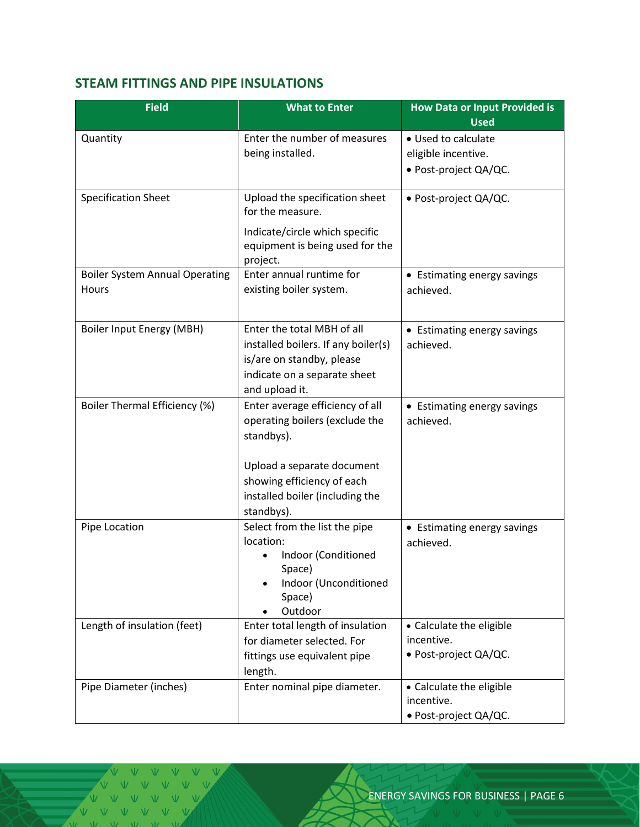#### <span id="page-5-0"></span>**STEAM FITTINGS AND PIPE INSULATIONS**

| <b>Field</b>                                   | <b>What to Enter</b>                                                                                                                                                                         | <b>How Data or Input Provided is</b><br><b>Used</b>                 |
|------------------------------------------------|----------------------------------------------------------------------------------------------------------------------------------------------------------------------------------------------|---------------------------------------------------------------------|
| Quantity                                       | Enter the number of measures<br>being installed.                                                                                                                                             | • Used to calculate<br>eligible incentive.<br>· Post-project QA/QC. |
| <b>Specification Sheet</b>                     | Upload the specification sheet<br>for the measure.<br>Indicate/circle which specific<br>equipment is being used for the<br>project.                                                          | · Post-project QA/QC.                                               |
| <b>Boiler System Annual Operating</b><br>Hours | Enter annual runtime for<br>existing boiler system.                                                                                                                                          | • Estimating energy savings<br>achieved.                            |
| Boiler Input Energy (MBH)                      | Enter the total MBH of all<br>installed boilers. If any boiler(s)<br>is/are on standby, please<br>indicate on a separate sheet<br>and upload it.                                             | • Estimating energy savings<br>achieved.                            |
| Boiler Thermal Efficiency (%)                  | Enter average efficiency of all<br>operating boilers (exclude the<br>standbys).<br>Upload a separate document<br>showing efficiency of each<br>installed boiler (including the<br>standbys). | • Estimating energy savings<br>achieved.                            |
| Pipe Location                                  | Select from the list the pipe<br>location:<br>Indoor (Conditioned<br>Space)<br>Indoor (Unconditioned<br>Space)<br>Outdoor                                                                    | • Estimating energy savings<br>achieved.                            |
| Length of insulation (feet)                    | Enter total length of insulation<br>for diameter selected. For<br>fittings use equivalent pipe<br>length.                                                                                    | • Calculate the eligible<br>incentive.<br>· Post-project QA/QC.     |
| Pipe Diameter (inches)                         | Enter nominal pipe diameter.                                                                                                                                                                 | • Calculate the eligible<br>incentive.<br>• Post-project QA/QC.     |

V V V VVVV VVV  $\sqrt{V}$   $\sqrt{V}$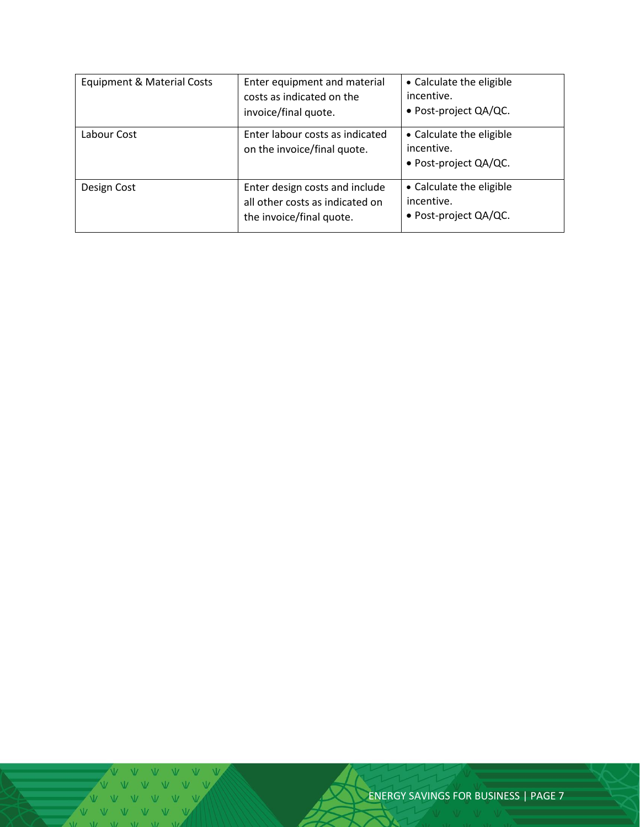| Equipment & Material Costs | Enter equipment and material<br>costs as indicated on the<br>invoice/final quote.             | • Calculate the eligible<br>incentive.<br>• Post-project QA/QC.    |
|----------------------------|-----------------------------------------------------------------------------------------------|--------------------------------------------------------------------|
| Labour Cost                | Enter labour costs as indicated<br>on the invoice/final quote.                                | • Calculate the eligible<br>incentive.<br>• Post-project QA/QC.    |
| Design Cost                | Enter design costs and include<br>all other costs as indicated on<br>the invoice/final quote. | • Calculate the eligible<br>incentive.<br>• Post-project $QA/QC$ . |

ENERGY SAVINGS FOR BUSINESS | PAGE 7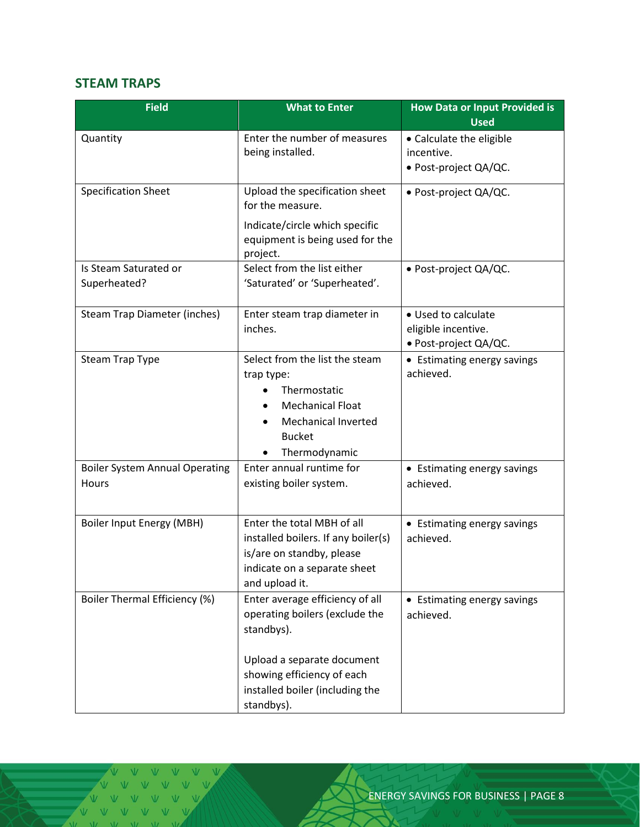#### <span id="page-7-0"></span>**STEAM TRAPS**

| <b>Field</b>                                   | <b>What to Enter</b>                                                                                                                                                                         | <b>How Data or Input Provided is</b><br><b>Used</b>                 |  |
|------------------------------------------------|----------------------------------------------------------------------------------------------------------------------------------------------------------------------------------------------|---------------------------------------------------------------------|--|
| Quantity                                       | Enter the number of measures<br>being installed.                                                                                                                                             | • Calculate the eligible<br>incentive.<br>• Post-project QA/QC.     |  |
| <b>Specification Sheet</b>                     | Upload the specification sheet<br>for the measure.<br>Indicate/circle which specific<br>equipment is being used for the<br>project.                                                          | · Post-project QA/QC.                                               |  |
| Is Steam Saturated or<br>Superheated?          | Select from the list either<br>'Saturated' or 'Superheated'.                                                                                                                                 | · Post-project QA/QC.                                               |  |
| Steam Trap Diameter (inches)                   | Enter steam trap diameter in<br>inches.                                                                                                                                                      | • Used to calculate<br>eligible incentive.<br>· Post-project QA/QC. |  |
| <b>Steam Trap Type</b>                         | Select from the list the steam<br>trap type:<br>Thermostatic<br><b>Mechanical Float</b><br><b>Mechanical Inverted</b><br><b>Bucket</b><br>Thermodynamic                                      | • Estimating energy savings<br>achieved.                            |  |
| <b>Boiler System Annual Operating</b><br>Hours | Enter annual runtime for<br>existing boiler system.                                                                                                                                          | • Estimating energy savings<br>achieved.                            |  |
| <b>Boiler Input Energy (MBH)</b>               | Enter the total MBH of all<br>installed boilers. If any boiler(s)<br>is/are on standby, please<br>indicate on a separate sheet<br>and upload it.                                             | • Estimating energy savings<br>achieved.                            |  |
| Boiler Thermal Efficiency (%)                  | Enter average efficiency of all<br>operating boilers (exclude the<br>standbys).<br>Upload a separate document<br>showing efficiency of each<br>installed boiler (including the<br>standbys). | • Estimating energy savings<br>achieved.                            |  |

V V V V V V V  $\sqrt{V}$   $\sqrt{V}$   $\sqrt{V}$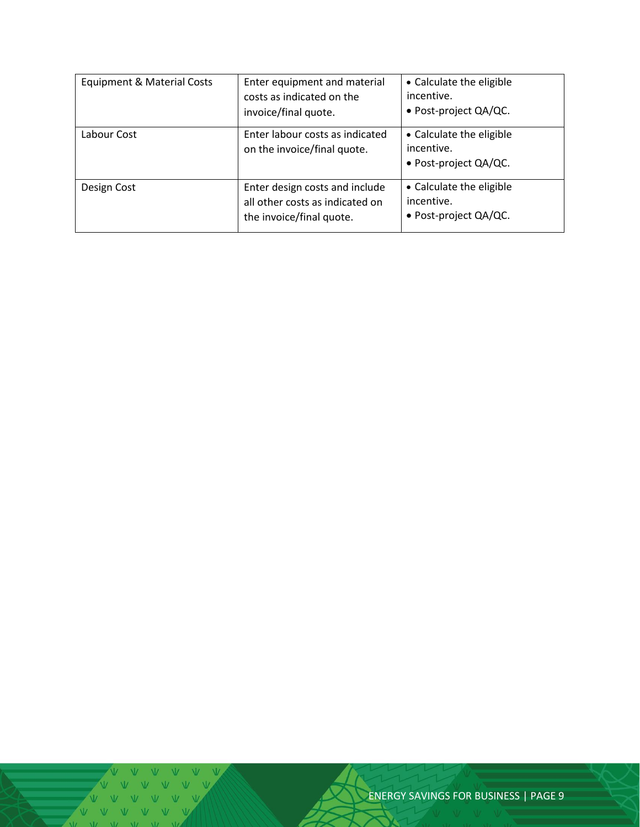| Equipment & Material Costs | Enter equipment and material<br>costs as indicated on the<br>invoice/final quote.             | • Calculate the eligible<br>incentive.<br>• Post-project QA/QC.    |
|----------------------------|-----------------------------------------------------------------------------------------------|--------------------------------------------------------------------|
| Labour Cost                | Enter labour costs as indicated<br>on the invoice/final quote.                                | • Calculate the eligible<br>incentive.<br>• Post-project QA/QC.    |
| Design Cost                | Enter design costs and include<br>all other costs as indicated on<br>the invoice/final quote. | • Calculate the eligible<br>incentive.<br>• Post-project $QA/QC$ . |

ENERGY SAVINGS FOR BUSINESS | PAGE 9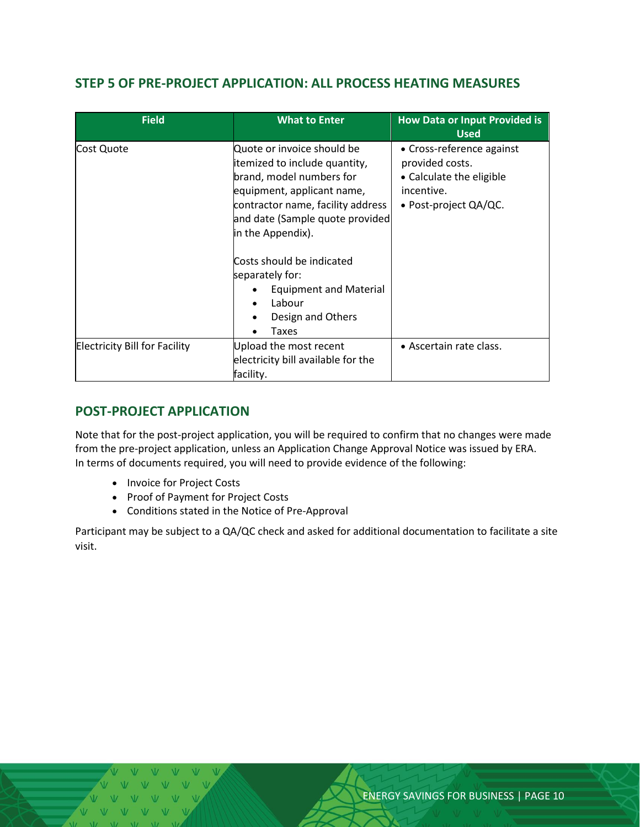#### <span id="page-9-0"></span>**STEP 5 OF PRE-PROJECT APPLICATION: ALL PROCESS HEATING MEASURES**

| <b>Field</b>                         | <b>What to Enter</b>                                                                                                                                                                                                                                                                                                                        | <b>How Data or Input Provided is</b><br><b>Used</b>                                                                |
|--------------------------------------|---------------------------------------------------------------------------------------------------------------------------------------------------------------------------------------------------------------------------------------------------------------------------------------------------------------------------------------------|--------------------------------------------------------------------------------------------------------------------|
| Cost Quote                           | Quote or invoice should be<br>itemized to include quantity,<br>brand, model numbers for<br>equipment, applicant name,<br>contractor name, facility address<br>and date (Sample quote provided<br>in the Appendix).<br>Costs should be indicated<br>separately for:<br><b>Equipment and Material</b><br>Labour<br>Design and Others<br>Taxes | • Cross-reference against<br>provided costs.<br>• Calculate the eligible<br>incentive.<br>• Post-project $QA/QC$ . |
| <b>Electricity Bill for Facility</b> | Upload the most recent<br>electricity bill available for the<br>facility.                                                                                                                                                                                                                                                                   | • Ascertain rate class.                                                                                            |

#### <span id="page-9-1"></span>**POST-PROJECT APPLICATION**

Note that for the post-project application, you will be required to confirm that no changes were made from the pre-project application, unless an Application Change Approval Notice was issued by ERA. In terms of documents required, you will need to provide evidence of the following:

- Invoice for Project Costs
- Proof of Payment for Project Costs
- Conditions stated in the Notice of Pre-Approval

Participant may be subject to a QA/QC check and asked for additional documentation to facilitate a site visit.